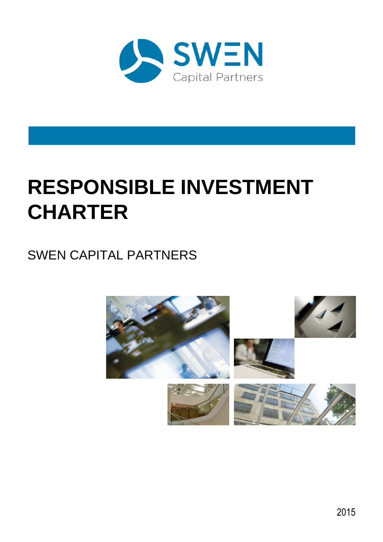

## **RESPONSIBLE INVESTMENT CHARTER**

### SWEN CAPITAL PARTNERS

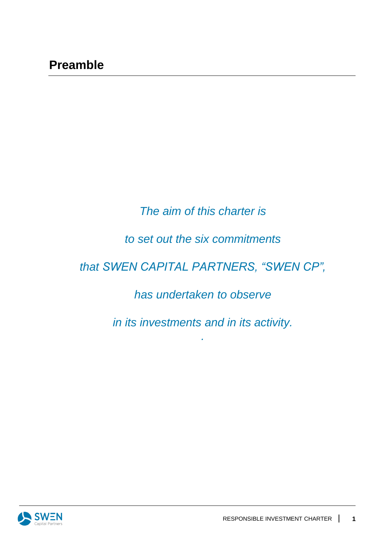#### *The aim of this charter is*

#### *to set out the six commitments*

#### *that SWEN CAPITAL PARTNERS, "SWEN CP",*

#### *has undertaken to observe*

*in its investments and in its activity.*

*.*

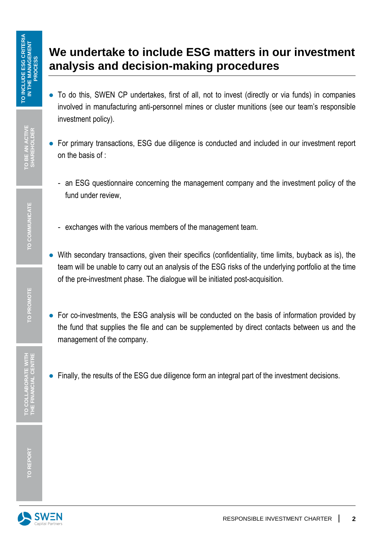#### **We undertake to include ESG matters in our investment analysis and decision-making procedures**

- To do this, SWEN CP undertakes, first of all, not to invest (directly or via funds) in companies involved in manufacturing anti-personnel mines or cluster munitions (see our team's responsible investment policy). We undertake to include ESG matters in our investment<br>
analysis and decision-making procedures<br>
analysis and decision-making procedures<br>
and this SWEN CP underlakes, first of all, not to invest (dredtly or via funds) in c
	- For primary transactions, ESG due diligence is conducted and included in our investment report on the basis of :
		- an ESG questionnaire concerning the management company and the investment policy of the fund under review,
		- exchanges with the various members of the management team.
	- With secondary transactions, given their specifics (confidentiality, time limits, buyback as is), the team will be unable to carry out an analysis of the ESG risks of the underlying portfolio at the time of the pre-investment phase. The dialogue will be initiated post-acquisition.
	- For co-investments, the ESG analysis will be conducted on the basis of information provided by the fund that supplies the file and can be supplemented by direct contacts between us and the management of the company.
	-

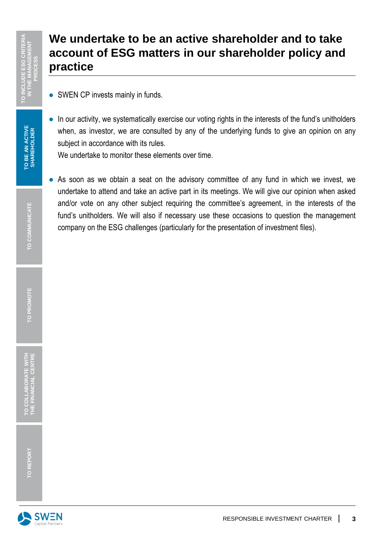#### **We undertake to be an active shareholder and to take account of ESG matters in our shareholder policy and practice**

- SWEN CP invests mainly in funds.
- In our activity, we systematically exercise our voting rights in the interests of the fund's unitholders when, as investor, we are consulted by any of the underlying funds to give an opinion on any subject in accordance with its rules.

We undertake to monitor these elements over time.

• As soon as we obtain a seat on the advisory committee of any fund in which we invest, we undertake to attend and take an active part in its meetings. We will give our opinion when asked and/or vote on any other subject requiring the committee's agreement, in the interests of the fund's unitholders. We will also if necessary use these occasions to question the management **EXAMPLE THE ESC CHALLEND COMMUNICATE COMPUTERIAL COMPUTERIAL COMPUTERIAL COMPUTERIAL COMPUTERIAL CONFINITION OF INVESTIGATION CONFINITION OF INVESTIGATION OF INVESTIGATION OF INVESTIGATION OF INVESTIGATION OF INVESTIGATIO** 

**TO PROMOTE**

**TO COLLABORATE WITH THE FINANCIAL CENTRE**

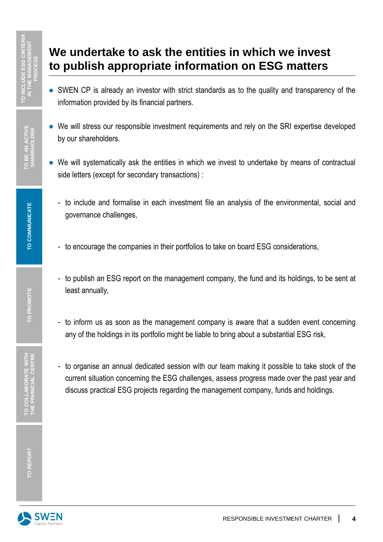#### **We undertake to ask the entities in which we invest to publish appropriate information on ESG matters**

- SWEN CP is already an investor with strict standards as to the quality and transparency of the information provided by its financial partners.
- We will stress our responsible investment requirements and rely on the SRI expertise developed by our shareholders.
- We will systematically ask the entities in which we invest to undertake by means of contractual side letters (except for secondary transactions) :
	- to include and formalise in each investment file an analysis of the environmental, social and governance challenges,
	- to encourage the companies in their portfolios to take on board ESG considerations,
	- to publish an ESG report on the management company, the fund and its holdings, to be sent at least annually,
	- to inform us as soon as the management company is aware that a sudden event concerning any of the holdings in its portfolio might be liable to bring about a substantial ESG risk,
- to organise an annual dedicated session with our team making it possible to take stock of the current situation concerning the ESG challenges, assess progress made over the past year and **State of the United State State Sim Which we invest<br>
State publish appropriate information on ESG matters<br>
State of the state of the state of the state of the state of the state of the state of the state of the state of t**

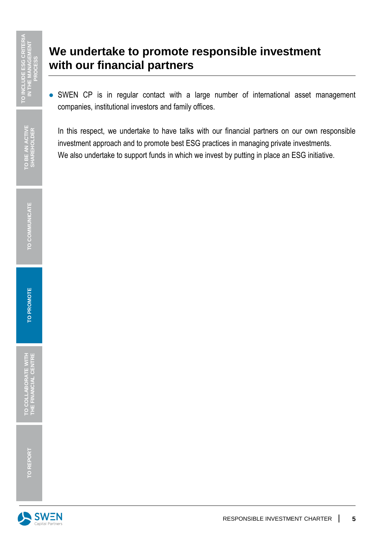#### **We undertake to promote responsible investment with our financial partners**

• SWEN CP is in regular contact with a large number of international asset management companies, institutional investors and family offices.

In this respect, we undertake to have talks with our financial partners on our own responsible investment approach and to promote best ESG practices in managing private investments. We undertake to promote responsible investment<br> **TO INCLUDE THE WITH OUT financial partners**<br> **TO INCLUDE THE MANAGEMENT WERE AND CP** is in regular contact with a large number of international asset management<br> **TO INCLUDE** 

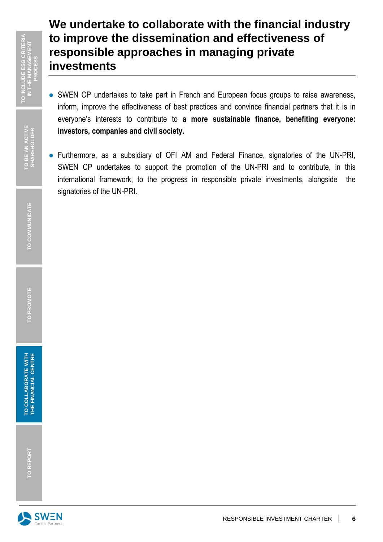#### **We undertake to collaborate with the financial industry to improve the dissemination and effectiveness of responsible approaches in managing private investments**

- SWEN CP undertakes to take part in French and European focus groups to raise awareness, inform, improve the effectiveness of best practices and convince financial partners that it is in everyone's interests to contribute to **a more sustainable finance, benefiting everyone: investors, companies and civil society.**
- Furthermore, as a subsidiary of OFI AM and Federal Finance, signatories of the UN-PRI, SWEN CP undertakes to support the promotion of the UN-PRI and to contribute, in this international framework, to the progress in responsible private investments, alongside the **to improve the d<br>
responsible app<br>
investments**<br>  $\frac{1}{2}$ <br>  $\frac{1}{2}$ <br>  $\frac{1}{2}$ <br>  $\frac{1}{2}$ <br>  $\frac{1}{2}$ <br>  $\frac{1}{2}$ <br>  $\frac{1}{2}$ <br>  $\frac{1}{2}$ <br>  $\frac{1}{2}$ <br>  $\frac{1}{2}$ <br>  $\frac{1}{2}$ <br>  $\frac{1}{2}$ <br>  $\frac{1}{2}$ <br>  $\frac{1}{2}$ <br>  $\frac{1}{2}$ <br>  $\frac{1}{2$

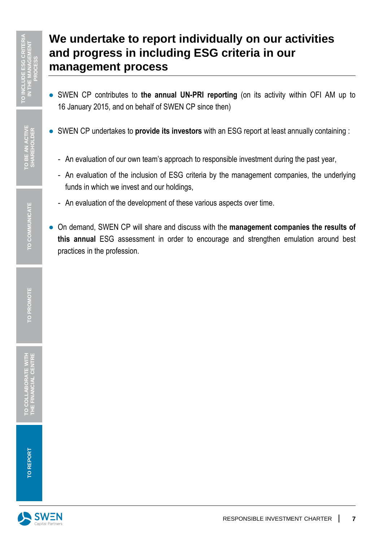# **We undertake to report individually on our activities and progress in including ESG criteria in our management process Profession. TO INCLUDE EXAMPLE AN ACTIVE SHAREHOLDER CRITERIA ISLAM CP CONTROLLOR COMMUNICATERISM COMMUNICATERISM COMMUNICATERISM COMMUNICATERISM COMMUNICATERISM COMMUNICATERISM COMMUNICATERISM COMMUNICATERISM COMMUNICATE**

- SWEN CP contributes to **the annual UN-PRI reporting** (on its activity within OFI AM up to 16 January 2015, and on behalf of SWEN CP since then)
- SWEN CP undertakes to **provide its investors** with an ESG report at least annually containing :
	- An evaluation of our own team's approach to responsible investment during the past year,
	- An evaluation of the inclusion of ESG criteria by the management companies, the underlying funds in which we invest and our holdings,
	- An evaluation of the development of these various aspects over time.
- On demand, SWEN CP will share and discuss with the **management companies the results of this annual** ESG assessment in order to encourage and strengthen emulation around best



**TO PROMOTE**

**TO COLLABORATE WITH THE FINANCIAL CENTRE**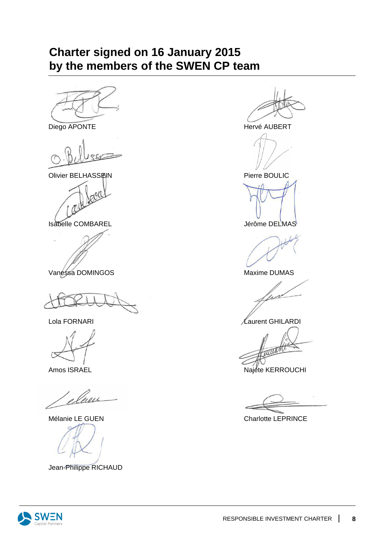#### **Charter signed on 16 January 2015 by the members of the SWEN CP team**



Olivier BELHASSEIN **Pierre BOULIC** 



Isabelle COMBAREL **International Studies of the USA** Jérôme DELMAS





elem

Jean-Philippe RICHAUD



Lola FORNARI 2009 - Annual March 2009 - Alexander March 2009 - Alexander March 2009 - Alexander March 2009 - A

Amos ISRAEL Najete KERROUCHI

Mélanie LE GUEN Charlotte LEPRINCE